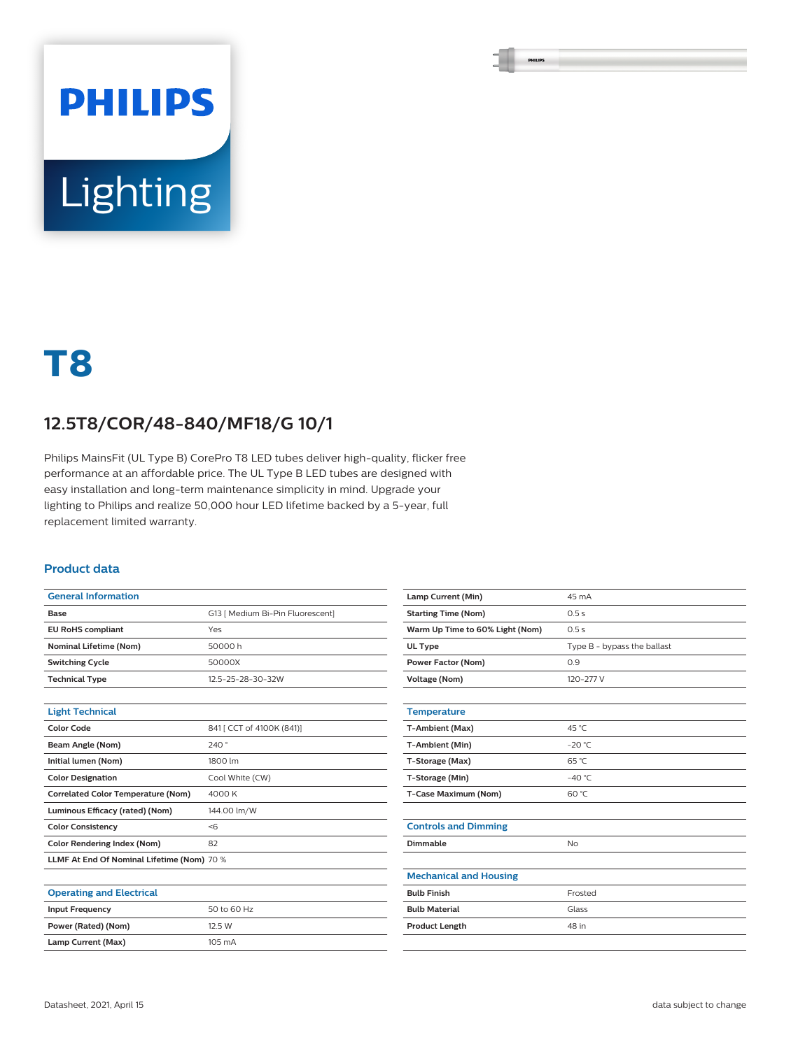# **PHILIPS Lighting**

## **T8**

### **12.5T8/COR/48-840/MF18/G 10/1**

Philips MainsFit (UL Type B) CorePro T8 LED tubes deliver high-quality, flicker free performance at an affordable price. The UL Type B LED tubes are designed with easy installation and long-term maintenance simplicity in mind. Upgrade your lighting to Philips and realize 50,000 hour LED lifetime backed by a 5-year, full replacement limited warranty.

#### **Product data**

| <b>General Information</b>                 |                                  |
|--------------------------------------------|----------------------------------|
| Base                                       | G13 [ Medium Bi-Pin Fluorescent] |
| <b>EU RoHS compliant</b>                   | Yes                              |
| <b>Nominal Lifetime (Nom)</b>              | 50000 h                          |
| <b>Switching Cycle</b>                     | 50000X                           |
| <b>Technical Type</b>                      | 12.5-25-28-30-32W                |
|                                            |                                  |
| <b>Light Technical</b>                     |                                  |
| <b>Color Code</b>                          | 841 [ CCT of 4100K (841)]        |
| Beam Angle (Nom)                           | 240°                             |
| Initial lumen (Nom)                        | 1800 lm                          |
| <b>Color Designation</b>                   | Cool White (CW)                  |
| <b>Correlated Color Temperature (Nom)</b>  | 4000 K                           |
| Luminous Efficacy (rated) (Nom)            | 144.00 lm/W                      |
| <b>Color Consistency</b>                   | < 6                              |
| <b>Color Rendering Index (Nom)</b>         | 82                               |
| LLMF At End Of Nominal Lifetime (Nom) 70 % |                                  |
|                                            |                                  |
| <b>Operating and Electrical</b>            |                                  |
| <b>Input Frequency</b>                     | 50 to 60 Hz                      |
| Power (Rated) (Nom)                        | 12.5 W                           |
| Lamp Current (Max)                         | 105 mA                           |

| Lamp Current (Min)              | 45 mA                       |
|---------------------------------|-----------------------------|
| <b>Starting Time (Nom)</b>      | 0.5s                        |
| Warm Up Time to 60% Light (Nom) | 0.5s                        |
| UL Type                         | Type B - bypass the ballast |
| <b>Power Factor (Nom)</b>       | 0.9                         |
| <b>Voltage (Nom)</b>            | 120-277 V                   |
|                                 |                             |
| <b>Temperature</b>              |                             |
| T-Ambient (Max)                 | 45 °C                       |
| T-Ambient (Min)                 | $-20 °C$                    |
| T-Storage (Max)                 | $65^{\circ}$ C              |
| T-Storage (Min)                 | $-40 °C$                    |
| T-Case Maximum (Nom)            | 60 °C                       |
|                                 |                             |
| <b>Controls and Dimming</b>     |                             |
| Dimmable                        | <b>No</b>                   |
|                                 |                             |
| <b>Mechanical and Housing</b>   |                             |
| <b>Bulb Finish</b>              | Frosted                     |
| <b>Bulb Material</b>            | Glass                       |
| <b>Product Length</b>           | 48 in                       |
|                                 |                             |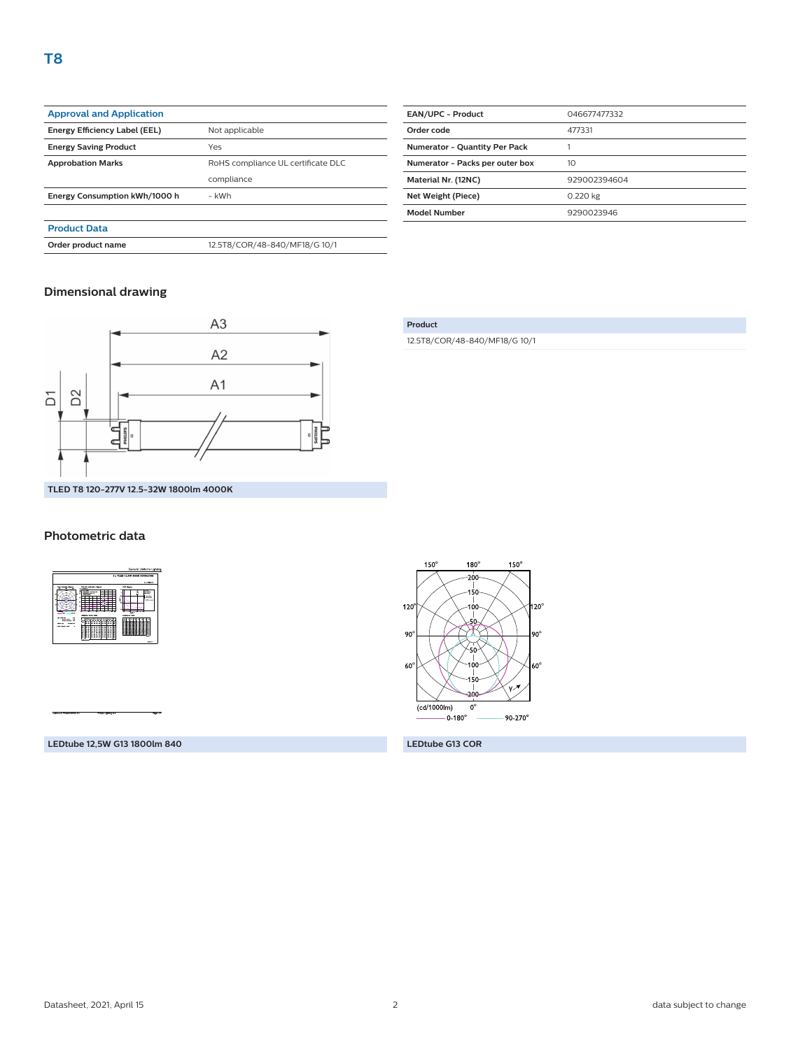| <b>Approval and Application</b> |                                    |
|---------------------------------|------------------------------------|
| Energy Efficiency Label (EEL)   | Not applicable                     |
| <b>Energy Saving Product</b>    | Yes                                |
| <b>Approbation Marks</b>        | RoHS compliance UL certificate DLC |
|                                 | compliance                         |
| Energy Consumption kWh/1000 h   | - kWh                              |
|                                 |                                    |
| <b>Product Data</b>             |                                    |

**Order product name** 12.5T8/COR/48-840/MF18/G 10/1

| <b>EAN/UPC - Product</b>             | 046677477332 |
|--------------------------------------|--------------|
| Order code                           | 477331       |
| <b>Numerator - Quantity Per Pack</b> |              |
| Numerator - Packs per outer box      | 10           |
| Material Nr. (12NC)                  | 929002394604 |
| Net Weight (Piece)                   | 0.220 kg     |
| <b>Model Number</b>                  | 9290023946   |

#### **Dimensional drawing**



#### **Photometric data**



**LEDtube 12,5W G13 1800lm 840 LEDtube G13 COR**

#### **Product**

12.5T8/COR/48-840/MF18/G 10/1

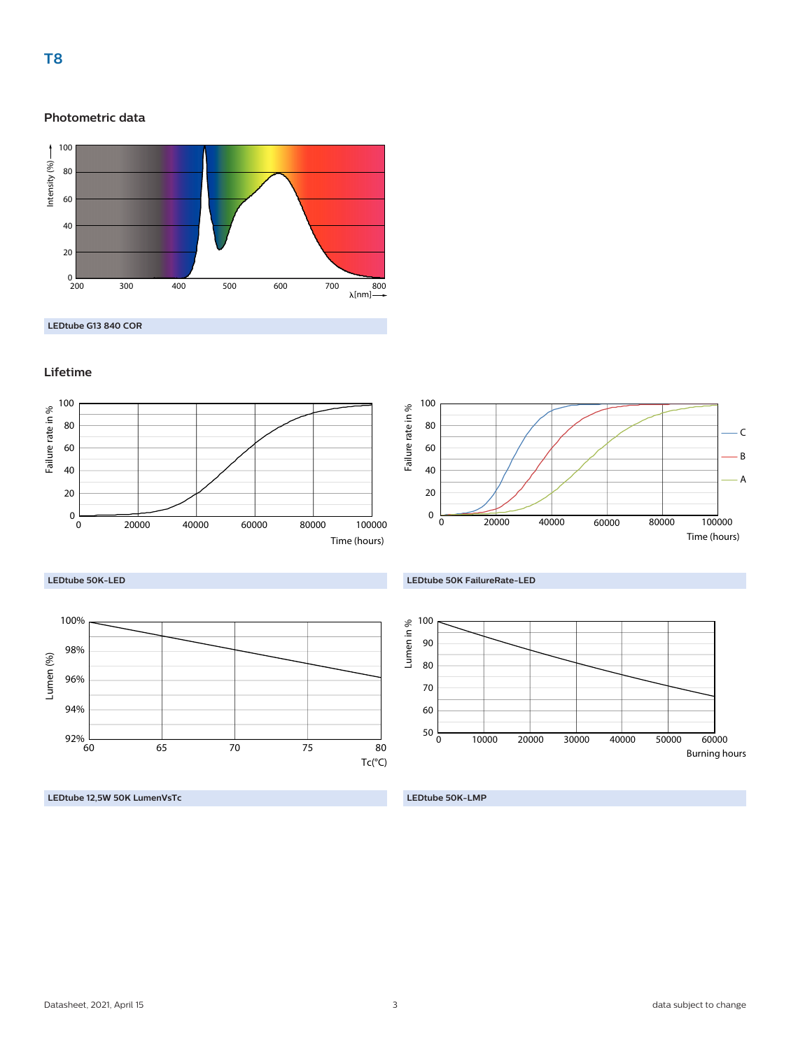#### **Photometric data**



**LEDtube G13 840 COR**

#### **Lifetime**